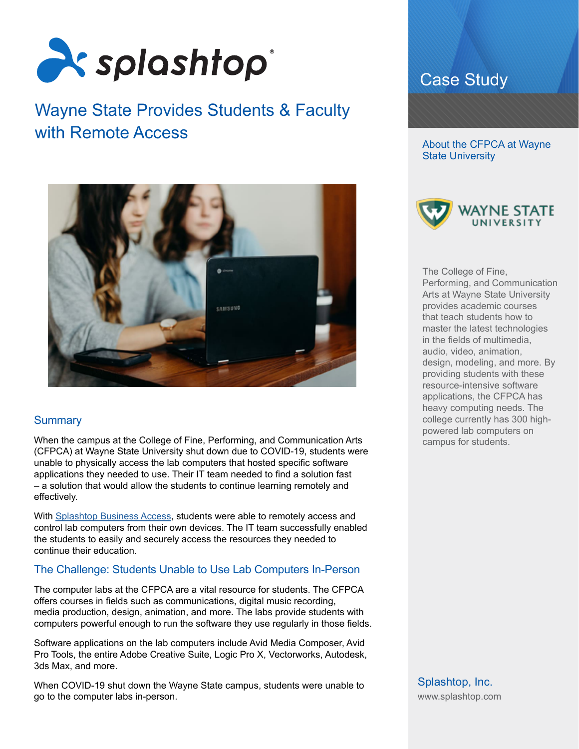

# Wayne State Provides Students & Faculty with Remote Access



# **Summary**

When the campus at the College of Fine, Performing, and Communication Arts (CFPCA) at Wayne State University shut down due to COVID-19, students were unable to physically access the lab computers that hosted specific software applications they needed to use. Their IT team needed to find a solution fast – a solution that would allow the students to continue learning remotely and effectively.

With [Splashtop Business Access](https://www.splashtop.com/business), students were able to remotely access and control lab computers from their own devices. The IT team successfully enabled the students to easily and securely access the resources they needed to continue their education.

# The Challenge: Students Unable to Use Lab Computers In-Person

The computer labs at the CFPCA are a vital resource for students. The CFPCA offers courses in fields such as communications, digital music recording, media production, design, animation, and more. The labs provide students with computers powerful enough to run the software they use regularly in those fields.

Software applications on the lab computers include Avid Media Composer, Avid Pro Tools, the entire Adobe Creative Suite, Logic Pro X, Vectorworks, Autodesk, 3ds Max, and more.

When COVID-19 shut down the Wayne State campus, students were unable to go to the computer labs in-person.

# Case Study

About the CFPCA at Wayne State University



The College of Fine, Performing, and Communication Arts at Wayne State University provides academic courses that teach students how to master the latest technologies in the fields of multimedia, audio, video, animation, design, modeling, and more. By providing students with these resource-intensive software applications, the CFPCA has heavy computing needs. The college currently has 300 highpowered lab computers on campus for students.

Splashtop, Inc. [www.splashtop.com](https://www.splashtop.com/)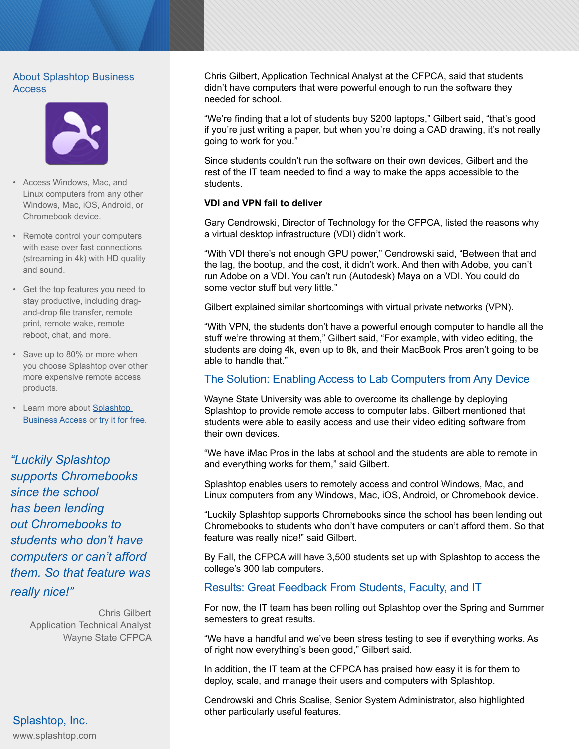#### About Splashtop Business **Access**



- Access Windows, Mac, and Linux computers from any other Windows, Mac, iOS, Android, or Chromebook device.
- Remote control your computers with ease over fast connections (streaming in 4k) with HD quality and sound.
- Get the top features you need to stay productive, including dragand-drop file transfer, remote print, remote wake, remote reboot, chat, and more.
- Save up to 80% or more when you choose Splashtop over other more expensive remote access products.
- Learn more about [Splashtop](https://www.splashtop.com/business)  **[Business Access](https://www.splashtop.com/business) or [try it for free](https://my.splashtop.com/stb-trial/signup).**

*"Luckily Splashtop supports Chromebooks since the school has been lending out Chromebooks to students who don't have computers or can't afford them. So that feature was really nice!"*

> Chris Gilbert Application Technical Analyst Wayne State CFPCA

Splashtop, Inc. [www.splashtop.com](https://www.splashtop.com/) Chris Gilbert, Application Technical Analyst at the CFPCA, said that students didn't have computers that were powerful enough to run the software they needed for school.

"We're finding that a lot of students buy \$200 laptops," Gilbert said, "that's good if you're just writing a paper, but when you're doing a CAD drawing, it's not really going to work for you."

Since students couldn't run the software on their own devices, Gilbert and the rest of the IT team needed to find a way to make the apps accessible to the students.

#### **VDI and VPN fail to deliver**

Gary Cendrowski, Director of Technology for the CFPCA, listed the reasons why a virtual desktop infrastructure (VDI) didn't work.

"With VDI there's not enough GPU power," Cendrowski said, "Between that and the lag, the bootup, and the cost, it didn't work. And then with Adobe, you can't run Adobe on a VDI. You can't run (Autodesk) Maya on a VDI. You could do some vector stuff but very little."

Gilbert explained similar shortcomings with virtual private networks (VPN).

"With VPN, the students don't have a powerful enough computer to handle all the stuff we're throwing at them," Gilbert said, "For example, with video editing, the students are doing 4k, even up to 8k, and their MacBook Pros aren't going to be able to handle that."

### The Solution: Enabling Access to Lab Computers from Any Device

Wayne State University was able to overcome its challenge by deploying Splashtop to provide remote access to computer labs. Gilbert mentioned that students were able to easily access and use their video editing software from their own devices.

"We have iMac Pros in the labs at school and the students are able to remote in and everything works for them," said Gilbert.

Splashtop enables users to remotely access and control Windows, Mac, and Linux computers from any Windows, Mac, iOS, Android, or Chromebook device.

"Luckily Splashtop supports Chromebooks since the school has been lending out Chromebooks to students who don't have computers or can't afford them. So that feature was really nice!" said Gilbert.

By Fall, the CFPCA will have 3,500 students set up with Splashtop to access the college's 300 lab computers.

#### Results: Great Feedback From Students, Faculty, and IT

For now, the IT team has been rolling out Splashtop over the Spring and Summer semesters to great results.

"We have a handful and we've been stress testing to see if everything works. As of right now everything's been good," Gilbert said.

In addition, the IT team at the CFPCA has praised how easy it is for them to deploy, scale, and manage their users and computers with Splashtop.

Cendrowski and Chris Scalise, Senior System Administrator, also highlighted other particularly useful features.